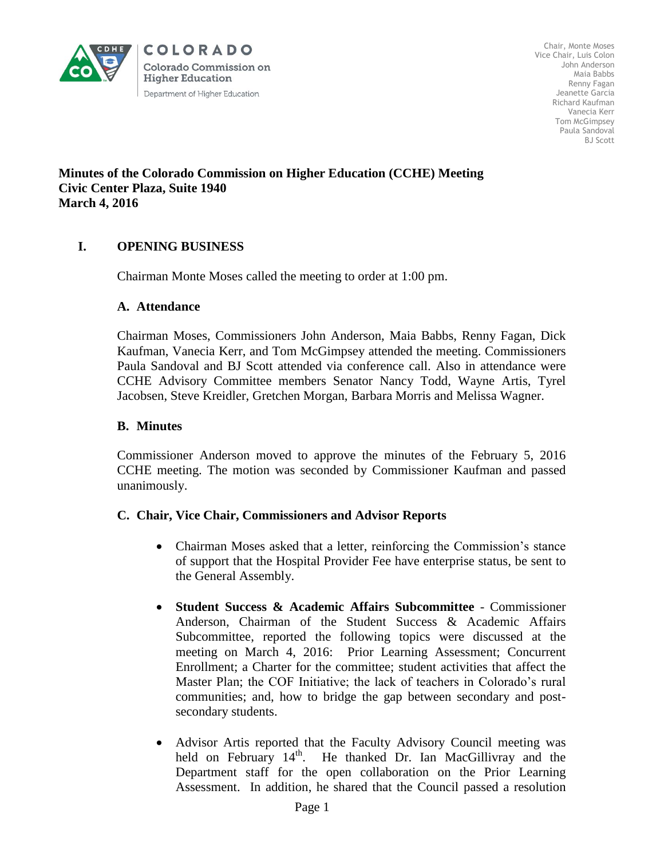

Chair, Monte Moses Vice Chair, Luis Colon John Anderson Maia Babbs Renny Fagan Jeanette Garcia Richard Kaufman Vanecia Kerr Tom McGimpsey Paula Sandoval BJ Scott

#### **Minutes of the Colorado Commission on Higher Education (CCHE) Meeting Civic Center Plaza, Suite 1940 March 4, 2016**

# **I. OPENING BUSINESS**

Chairman Monte Moses called the meeting to order at 1:00 pm.

#### **A. Attendance**

Chairman Moses, Commissioners John Anderson, Maia Babbs, Renny Fagan, Dick Kaufman, Vanecia Kerr, and Tom McGimpsey attended the meeting. Commissioners Paula Sandoval and BJ Scott attended via conference call. Also in attendance were CCHE Advisory Committee members Senator Nancy Todd, Wayne Artis, Tyrel Jacobsen, Steve Kreidler, Gretchen Morgan, Barbara Morris and Melissa Wagner.

#### **B. Minutes**

Commissioner Anderson moved to approve the minutes of the February 5, 2016 CCHE meeting. The motion was seconded by Commissioner Kaufman and passed unanimously.

## **C. Chair, Vice Chair, Commissioners and Advisor Reports**

- Chairman Moses asked that a letter, reinforcing the Commission's stance of support that the Hospital Provider Fee have enterprise status, be sent to the General Assembly.
- **Student Success & Academic Affairs Subcommittee** Commissioner Anderson, Chairman of the Student Success & Academic Affairs Subcommittee, reported the following topics were discussed at the meeting on March 4, 2016: Prior Learning Assessment; Concurrent Enrollment; a Charter for the committee; student activities that affect the Master Plan; the COF Initiative; the lack of teachers in Colorado's rural communities; and, how to bridge the gap between secondary and postsecondary students.
- Advisor Artis reported that the Faculty Advisory Council meeting was held on February  $14<sup>th</sup>$ . He thanked Dr. Ian MacGillivray and the Department staff for the open collaboration on the Prior Learning Assessment. In addition, he shared that the Council passed a resolution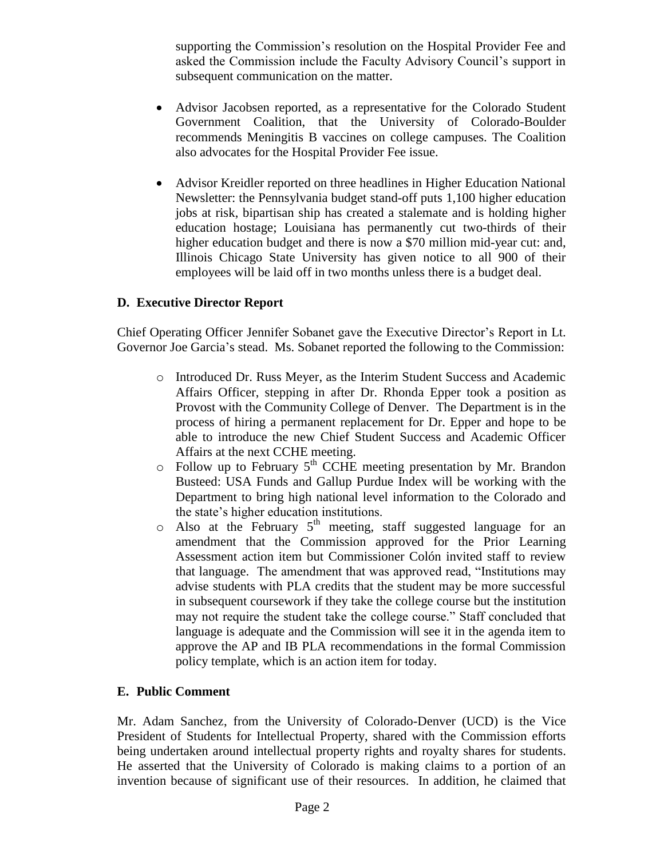supporting the Commission's resolution on the Hospital Provider Fee and asked the Commission include the Faculty Advisory Council's support in subsequent communication on the matter.

- Advisor Jacobsen reported, as a representative for the Colorado Student Government Coalition, that the University of Colorado-Boulder recommends Meningitis B vaccines on college campuses. The Coalition also advocates for the Hospital Provider Fee issue.
- Advisor Kreidler reported on three headlines in Higher Education National Newsletter: the Pennsylvania budget stand-off puts 1,100 higher education jobs at risk, bipartisan ship has created a stalemate and is holding higher education hostage; Louisiana has permanently cut two-thirds of their higher education budget and there is now a \$70 million mid-year cut: and, Illinois Chicago State University has given notice to all 900 of their employees will be laid off in two months unless there is a budget deal.

## **D. Executive Director Report**

Chief Operating Officer Jennifer Sobanet gave the Executive Director's Report in Lt. Governor Joe Garcia's stead. Ms. Sobanet reported the following to the Commission:

- o Introduced Dr. Russ Meyer, as the Interim Student Success and Academic Affairs Officer, stepping in after Dr. Rhonda Epper took a position as Provost with the Community College of Denver. The Department is in the process of hiring a permanent replacement for Dr. Epper and hope to be able to introduce the new Chief Student Success and Academic Officer Affairs at the next CCHE meeting.
- $\circ$  Follow up to February 5<sup>th</sup> CCHE meeting presentation by Mr. Brandon Busteed: USA Funds and Gallup Purdue Index will be working with the Department to bring high national level information to the Colorado and the state's higher education institutions.
- $\circ$  Also at the February 5<sup>th</sup> meeting, staff suggested language for an amendment that the Commission approved for the Prior Learning Assessment action item but Commissioner Colón invited staff to review that language. The amendment that was approved read, "Institutions may advise students with PLA credits that the student may be more successful in subsequent coursework if they take the college course but the institution may not require the student take the college course." Staff concluded that language is adequate and the Commission will see it in the agenda item to approve the AP and IB PLA recommendations in the formal Commission policy template, which is an action item for today.

## **E. Public Comment**

Mr. Adam Sanchez, from the University of Colorado-Denver (UCD) is the Vice President of Students for Intellectual Property, shared with the Commission efforts being undertaken around intellectual property rights and royalty shares for students. He asserted that the University of Colorado is making claims to a portion of an invention because of significant use of their resources. In addition, he claimed that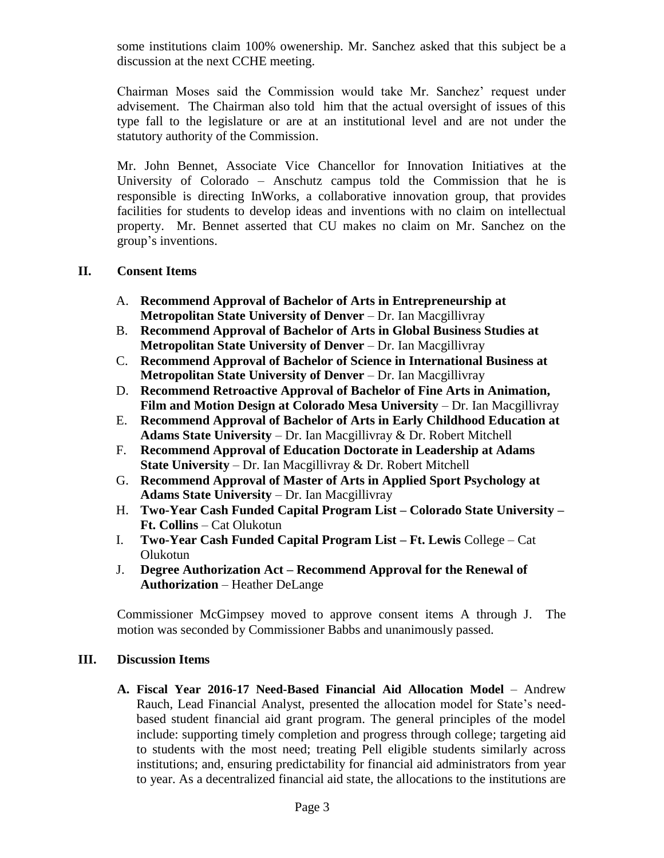some institutions claim 100% owenership. Mr. Sanchez asked that this subject be a discussion at the next CCHE meeting.

Chairman Moses said the Commission would take Mr. Sanchez' request under advisement. The Chairman also told him that the actual oversight of issues of this type fall to the legislature or are at an institutional level and are not under the statutory authority of the Commission.

Mr. John Bennet, Associate Vice Chancellor for Innovation Initiatives at the University of Colorado – Anschutz campus told the Commission that he is responsible is directing InWorks, a collaborative innovation group, that provides facilities for students to develop ideas and inventions with no claim on intellectual property. Mr. Bennet asserted that CU makes no claim on Mr. Sanchez on the group's inventions.

## **II. Consent Items**

- A. **Recommend Approval of Bachelor of Arts in Entrepreneurship at Metropolitan State University of Denver** – Dr. Ian Macgillivray
- B. **Recommend Approval of Bachelor of Arts in Global Business Studies at Metropolitan State University of Denver** – Dr. Ian Macgillivray
- C. **Recommend Approval of Bachelor of Science in International Business at Metropolitan State University of Denver** – Dr. Ian Macgillivray
- D. **Recommend Retroactive Approval of Bachelor of Fine Arts in Animation, Film and Motion Design at Colorado Mesa University** – Dr. Ian Macgillivray
- E. **Recommend Approval of Bachelor of Arts in Early Childhood Education at Adams State University** – Dr. Ian Macgillivray & Dr. Robert Mitchell
- F. **Recommend Approval of Education Doctorate in Leadership at Adams State University** – Dr. Ian Macgillivray & Dr. Robert Mitchell
- G. **Recommend Approval of Master of Arts in Applied Sport Psychology at Adams State University** – Dr. Ian Macgillivray
- H. **Two-Year Cash Funded Capital Program List – Colorado State University – Ft. Collins** – Cat Olukotun
- I. **Two-Year Cash Funded Capital Program List – Ft. Lewis** College Cat Olukotun
- J. **Degree Authorization Act – Recommend Approval for the Renewal of Authorization** – Heather DeLange

 Commissioner McGimpsey moved to approve consent items A through J. The motion was seconded by Commissioner Babbs and unanimously passed.

#### **III. Discussion Items**

**A. Fiscal Year 2016-17 Need-Based Financial Aid Allocation Model** – Andrew Rauch, Lead Financial Analyst, presented the allocation model for State's needbased student financial aid grant program. The general principles of the model include: supporting timely completion and progress through college; targeting aid to students with the most need; treating Pell eligible students similarly across institutions; and, ensuring predictability for financial aid administrators from year to year. As a decentralized financial aid state, the allocations to the institutions are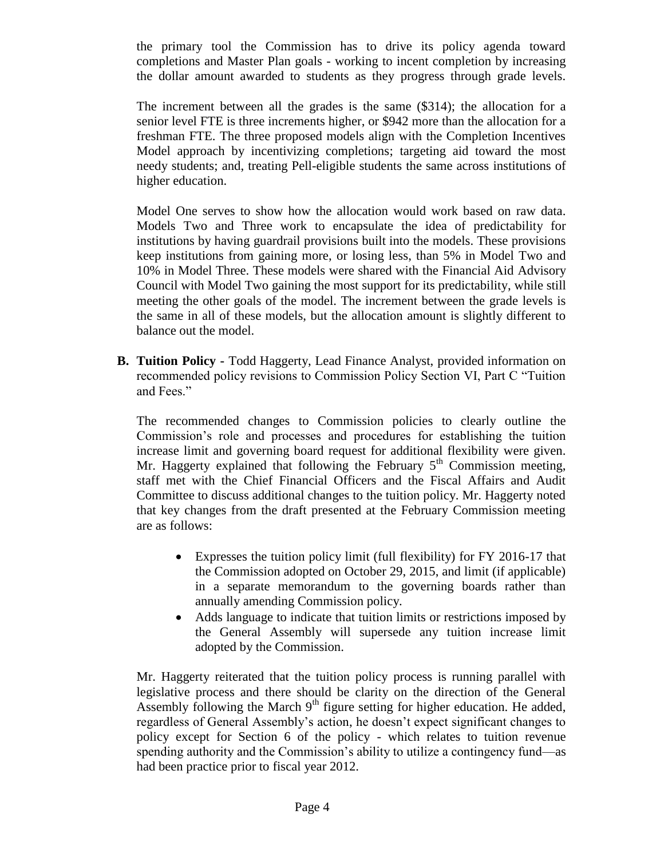the primary tool the Commission has to drive its policy agenda toward completions and Master Plan goals - working to incent completion by increasing the dollar amount awarded to students as they progress through grade levels.

The increment between all the grades is the same (\$314); the allocation for a senior level FTE is three increments higher, or \$942 more than the allocation for a freshman FTE. The three proposed models align with the Completion Incentives Model approach by incentivizing completions; targeting aid toward the most needy students; and, treating Pell-eligible students the same across institutions of higher education.

Model One serves to show how the allocation would work based on raw data. Models Two and Three work to encapsulate the idea of predictability for institutions by having guardrail provisions built into the models. These provisions keep institutions from gaining more, or losing less, than 5% in Model Two and 10% in Model Three. These models were shared with the Financial Aid Advisory Council with Model Two gaining the most support for its predictability, while still meeting the other goals of the model. The increment between the grade levels is the same in all of these models, but the allocation amount is slightly different to balance out the model.

**B. Tuition Policy -** Todd Haggerty, Lead Finance Analyst, provided information on recommended policy revisions to Commission Policy Section VI, Part C "Tuition and Fees."

The recommended changes to Commission policies to clearly outline the Commission's role and processes and procedures for establishing the tuition increase limit and governing board request for additional flexibility were given. Mr. Haggerty explained that following the February  $5<sup>th</sup>$  Commission meeting, staff met with the Chief Financial Officers and the Fiscal Affairs and Audit Committee to discuss additional changes to the tuition policy. Mr. Haggerty noted that key changes from the draft presented at the February Commission meeting are as follows:

- Expresses the tuition policy limit (full flexibility) for FY 2016-17 that the Commission adopted on October 29, 2015, and limit (if applicable) in a separate memorandum to the governing boards rather than annually amending Commission policy.
- Adds language to indicate that tuition limits or restrictions imposed by the General Assembly will supersede any tuition increase limit adopted by the Commission.

Mr. Haggerty reiterated that the tuition policy process is running parallel with legislative process and there should be clarity on the direction of the General Assembly following the March  $9<sup>th</sup>$  figure setting for higher education. He added, regardless of General Assembly's action, he doesn't expect significant changes to policy except for Section 6 of the policy - which relates to tuition revenue spending authority and the Commission's ability to utilize a contingency fund—as had been practice prior to fiscal year 2012.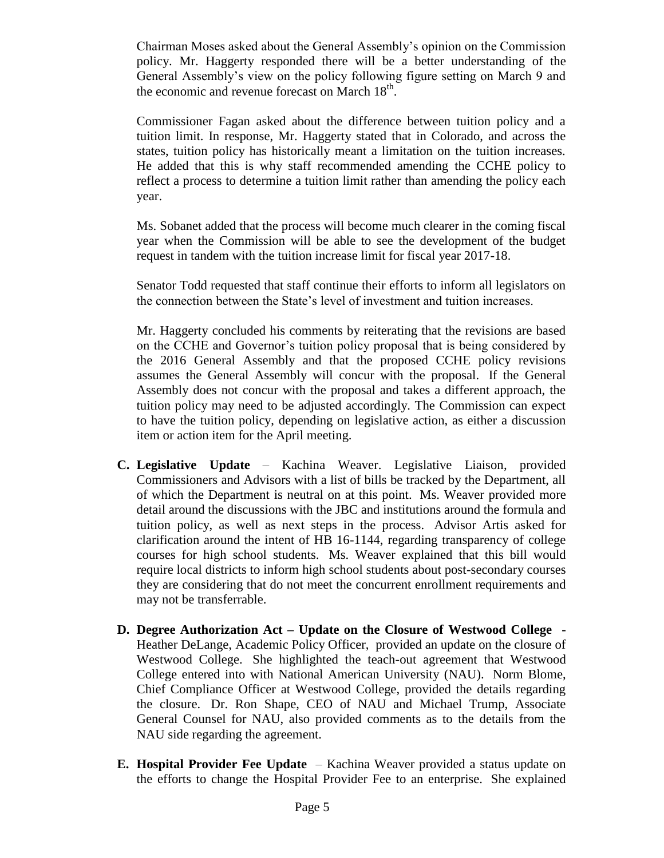Chairman Moses asked about the General Assembly's opinion on the Commission policy. Mr. Haggerty responded there will be a better understanding of the General Assembly's view on the policy following figure setting on March 9 and the economic and revenue forecast on March  $18<sup>th</sup>$ .

Commissioner Fagan asked about the difference between tuition policy and a tuition limit. In response, Mr. Haggerty stated that in Colorado, and across the states, tuition policy has historically meant a limitation on the tuition increases. He added that this is why staff recommended amending the CCHE policy to reflect a process to determine a tuition limit rather than amending the policy each year.

Ms. Sobanet added that the process will become much clearer in the coming fiscal year when the Commission will be able to see the development of the budget request in tandem with the tuition increase limit for fiscal year 2017-18.

Senator Todd requested that staff continue their efforts to inform all legislators on the connection between the State's level of investment and tuition increases.

Mr. Haggerty concluded his comments by reiterating that the revisions are based on the CCHE and Governor's tuition policy proposal that is being considered by the 2016 General Assembly and that the proposed CCHE policy revisions assumes the General Assembly will concur with the proposal. If the General Assembly does not concur with the proposal and takes a different approach, the tuition policy may need to be adjusted accordingly. The Commission can expect to have the tuition policy, depending on legislative action, as either a discussion item or action item for the April meeting.

- **C. Legislative Update** Kachina Weaver. Legislative Liaison, provided Commissioners and Advisors with a list of bills be tracked by the Department, all of which the Department is neutral on at this point. Ms. Weaver provided more detail around the discussions with the JBC and institutions around the formula and tuition policy, as well as next steps in the process. Advisor Artis asked for clarification around the intent of HB 16-1144, regarding transparency of college courses for high school students. Ms. Weaver explained that this bill would require local districts to inform high school students about post-secondary courses they are considering that do not meet the concurrent enrollment requirements and may not be transferrable.
- **D. Degree Authorization Act – Update on the Closure of Westwood College -** Heather DeLange, Academic Policy Officer, provided an update on the closure of Westwood College. She highlighted the teach-out agreement that Westwood College entered into with National American University (NAU). Norm Blome, Chief Compliance Officer at Westwood College, provided the details regarding the closure. Dr. Ron Shape, CEO of NAU and Michael Trump, Associate General Counsel for NAU, also provided comments as to the details from the NAU side regarding the agreement.
- **E. Hospital Provider Fee Update** Kachina Weaver provided a status update on the efforts to change the Hospital Provider Fee to an enterprise. She explained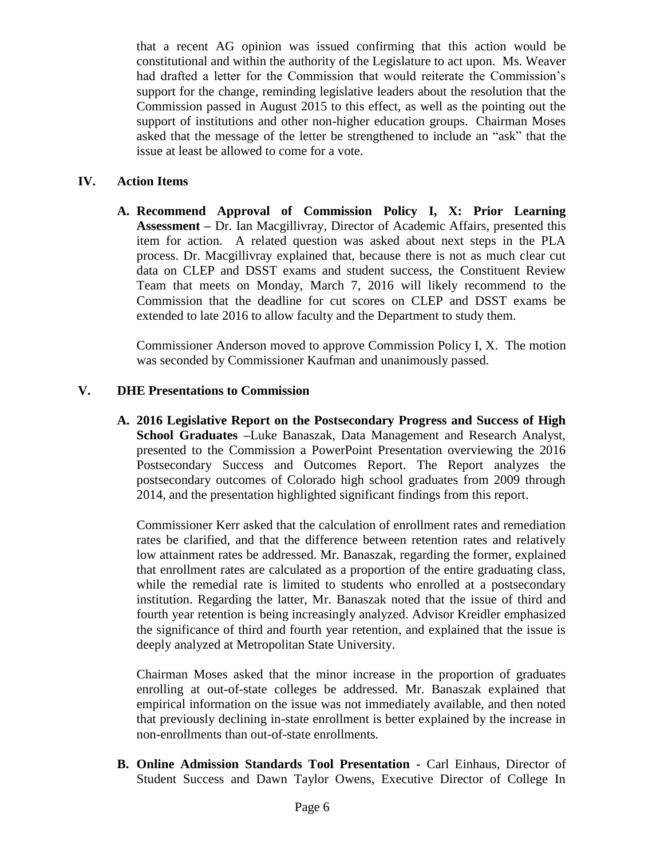that a recent AG opinion was issued confirming that this action would be constitutional and within the authority of the Legislature to act upon. Ms. Weaver had drafted a letter for the Commission that would reiterate the Commission's support for the change, reminding legislative leaders about the resolution that the Commission passed in August 2015 to this effect, as well as the pointing out the support of institutions and other non-higher education groups. Chairman Moses asked that the message of the letter be strengthened to include an "ask" that the issue at least be allowed to come for a vote.

## **IV. Action Items**

**A. Recommend Approval of Commission Policy I, X: Prior Learning Assessment –** Dr. Ian Macgillivray, Director of Academic Affairs, presented this item for action. A related question was asked about next steps in the PLA process. Dr. Macgillivray explained that, because there is not as much clear cut data on CLEP and DSST exams and student success, the Constituent Review Team that meets on Monday, March 7, 2016 will likely recommend to the Commission that the deadline for cut scores on CLEP and DSST exams be extended to late 2016 to allow faculty and the Department to study them.

Commissioner Anderson moved to approve Commission Policy I, X. The motion was seconded by Commissioner Kaufman and unanimously passed.

# **V. DHE Presentations to Commission**

**A. 2016 Legislative Report on the Postsecondary Progress and Success of High School Graduates –**Luke Banaszak, Data Management and Research Analyst, presented to the Commission a PowerPoint Presentation overviewing the 2016 Postsecondary Success and Outcomes Report. The Report analyzes the postsecondary outcomes of Colorado high school graduates from 2009 through 2014, and the presentation highlighted significant findings from this report.

Commissioner Kerr asked that the calculation of enrollment rates and remediation rates be clarified, and that the difference between retention rates and relatively low attainment rates be addressed. Mr. Banaszak, regarding the former, explained that enrollment rates are calculated as a proportion of the entire graduating class, while the remedial rate is limited to students who enrolled at a postsecondary institution. Regarding the latter, Mr. Banaszak noted that the issue of third and fourth year retention is being increasingly analyzed. Advisor Kreidler emphasized the significance of third and fourth year retention, and explained that the issue is deeply analyzed at Metropolitan State University.

Chairman Moses asked that the minor increase in the proportion of graduates enrolling at out-of-state colleges be addressed. Mr. Banaszak explained that empirical information on the issue was not immediately available, and then noted that previously declining in-state enrollment is better explained by the increase in non-enrollments than out-of-state enrollments.

**B. Online Admission Standards Tool Presentation -** Carl Einhaus, Director of Student Success and Dawn Taylor Owens, Executive Director of College In